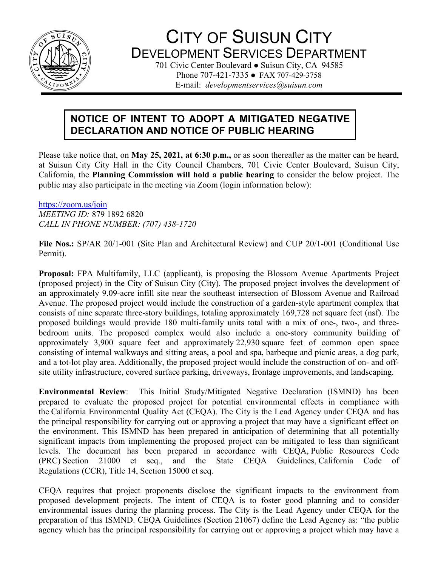

# CITY OF SUISUN CITY DEVELOPMENT SERVICES DEPARTMENT

701 Civic Center Boulevard • Suisun City, CA 94585 Phone 707-421-7335 ● FAX 707-429-3758 E-mail: *developmentservices@suisun.com*

# **NOTICE OF INTENT TO ADOPT A MITIGATED NEGATIVE DECLARATION AND NOTICE OF PUBLIC HEARING**

Please take notice that, on **May 25, 2021, at 6:30 p.m.,** or as soon thereafter as the matter can be heard, at Suisun City City Hall in the City Council Chambers, 701 Civic Center Boulevard, Suisun City, California, the **Planning Commission will hold a public hearing** to consider the below project. The public may also participate in the meeting via Zoom (login information below):

<https://zoom.us/join> *MEETING ID:* 879 1892 6820 *CALL IN PHONE NUMBER: (707) 438-1720*

**File Nos.:** SP/AR 20/1-001 (Site Plan and Architectural Review) and CUP 20/1-001 (Conditional Use Permit).

**Proposal:** FPA Multifamily, LLC (applicant), is proposing the Blossom Avenue Apartments Project (proposed project) in the City of Suisun City (City). The proposed project involves the development of an approximately 9.09-acre infill site near the southeast intersection of Blossom Avenue and Railroad Avenue. The proposed project would include the construction of a garden-style apartment complex that consists of nine separate three-story buildings, totaling approximately 169,728 net square feet (nsf). The proposed buildings would provide 180 multi-family units total with a mix of one-, two-, and threebedroom units. The proposed complex would also include a one-story community building of approximately 3,900 square feet and approximately 22,930 square feet of common open space consisting of internal walkways and sitting areas, a pool and spa, barbeque and picnic areas, a dog park, and a tot-lot play area. Additionally, the proposed project would include the construction of on- and offsite utility infrastructure, covered surface parking, driveways, frontage improvements, and landscaping.

**Environmental Review**: This Initial Study/Mitigated Negative Declaration (ISMND) has been prepared to evaluate the proposed project for potential environmental effects in compliance with the California Environmental Quality Act (CEQA). The City is the Lead Agency under CEQA and has the principal responsibility for carrying out or approving a project that may have a significant effect on the environment. This ISMND has been prepared in anticipation of determining that all potentially significant impacts from implementing the proposed project can be mitigated to less than significant levels. The document has been prepared in accordance with CEQA, Public Resources Code (PRC) Section 21000 et seq., and the State CEQA Guidelines, California Code of Regulations (CCR), Title 14, Section 15000 et seq.

CEQA requires that project proponents disclose the significant impacts to the environment from proposed development projects. The intent of CEQA is to foster good planning and to consider environmental issues during the planning process. The City is the Lead Agency under CEQA for the preparation of this ISMND. CEQA Guidelines (Section 21067) define the Lead Agency as: "the public agency which has the principal responsibility for carrying out or approving a project which may have a